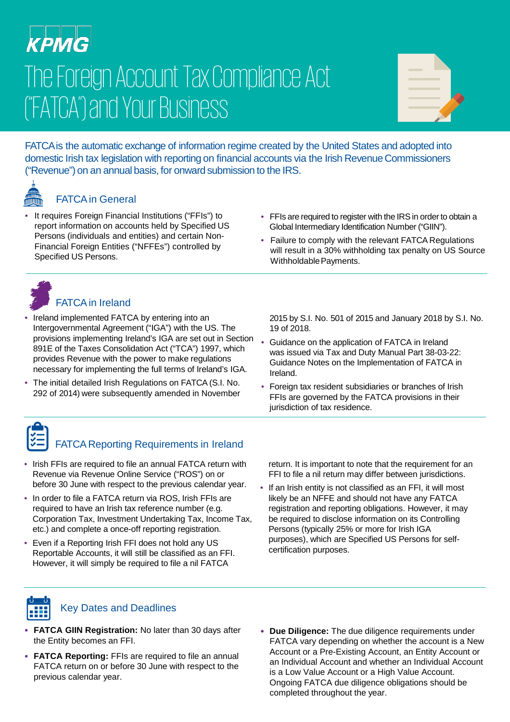# КРМС The Foreign Account Tax Compliance Act ("FATCA") and Your Business

| __                                                                                                                    |  |
|-----------------------------------------------------------------------------------------------------------------------|--|
| <b>Contract Contract Contract Contract Contract Contract Contract Contract Contract Contract Contract Contract Co</b> |  |
| <b>CONTRACTOR</b>                                                                                                     |  |
|                                                                                                                       |  |

FATCA is the automatic exchange of information regime created by the United States and adopted into domestic Irish tax legislation with reporting on financial accounts via the Irish Revenue Commissioners ("Revenue") on an annual basis, for onward submission to the IRS.

#### FATCA in General

- It requires Foreign Financial Institutions ("FFIs") to report information on accounts held by Specified US Persons (individuals and entities) and certain Non-Financial Foreign Entities ("NFFEs") controlled by Specified US Persons.
- FFIs are required to register with the IRS in order to obtain a Global Intermediary Identification Number ("GIIN").
- Failure to comply with the relevant FATCA Regulations will result in a 30% withholding tax penalty on US Source Withholdable Payments.



## FATCA in Ireland

- Ireland implemented FATCA by entering into an Intergovernmental Agreement ("IGA") with the US. The provisions implementing Ireland's IGA are set out in Section 891E of the Taxes Consolidation Act ("TCA") 1997, which provides Revenue with the power to make regulations necessary for implementing the full terms of Ireland's IGA.
- The initial detailed Irish Regulations on FATCA (S.I. No. 292 of 2014) were subsequently amended in November

2015 by S.I. No. 501 of 2015 and January 2018 by S.I. No. 19 of 2018.

- Guidance on the application of FATCA in Ireland was issued via Tax and Duty Manual Part 38-03-22: Guidance Notes on the Implementation of FATCA in Ireland.
- Foreign tax resident subsidiaries or branches of Irish FFIs are governed by the FATCA provisions in their jurisdiction of tax residence.

## FATCA Reporting Requirements in Ireland

- Irish FFIs are required to file an annual FATCA return with Revenue via Revenue Online Service ("ROS") on or before 30 June with respect to the previous calendar year.
- In order to file a FATCA return via ROS, Irish FFIs are required to have an Irish tax reference number (e.g. Corporation Tax, Investment Undertaking Tax, Income Tax, etc.) and complete a once-off reporting registration.
- Even if a Reporting Irish FFI does not hold any US Reportable Accounts, it will still be classified as an FFI. However, it will simply be required to file a nil FATCA

return. It is important to note that the requirement for an FFI to file a nil return may differ between jurisdictions.

• If an Irish entity is not classified as an FFI, it will most likely be an NFFE and should not have any FATCA registration and reporting obligations. However, it may be required to disclose information on its Controlling Persons (typically 25% or more for Irish IGA purposes), which are Specified US Persons for selfcertification purposes.



#### Key Dates and Deadlines

- **FATCA GIIN Registration:** No later than 30 days after the Entity becomes an FFI.
- **FATCA Reporting:** FFIs are required to file an annual FATCA return on or before 30 June with respect to the previous calendar year.
- **Due Diligence:** The due diligence requirements under FATCA vary depending on whether the account is a New Account or a Pre-Existing Account, an Entity Account or an Individual Account and whether an Individual Account is a Low Value Account or a High Value Account. Ongoing FATCA due diligence obligations should be completed throughout the year.